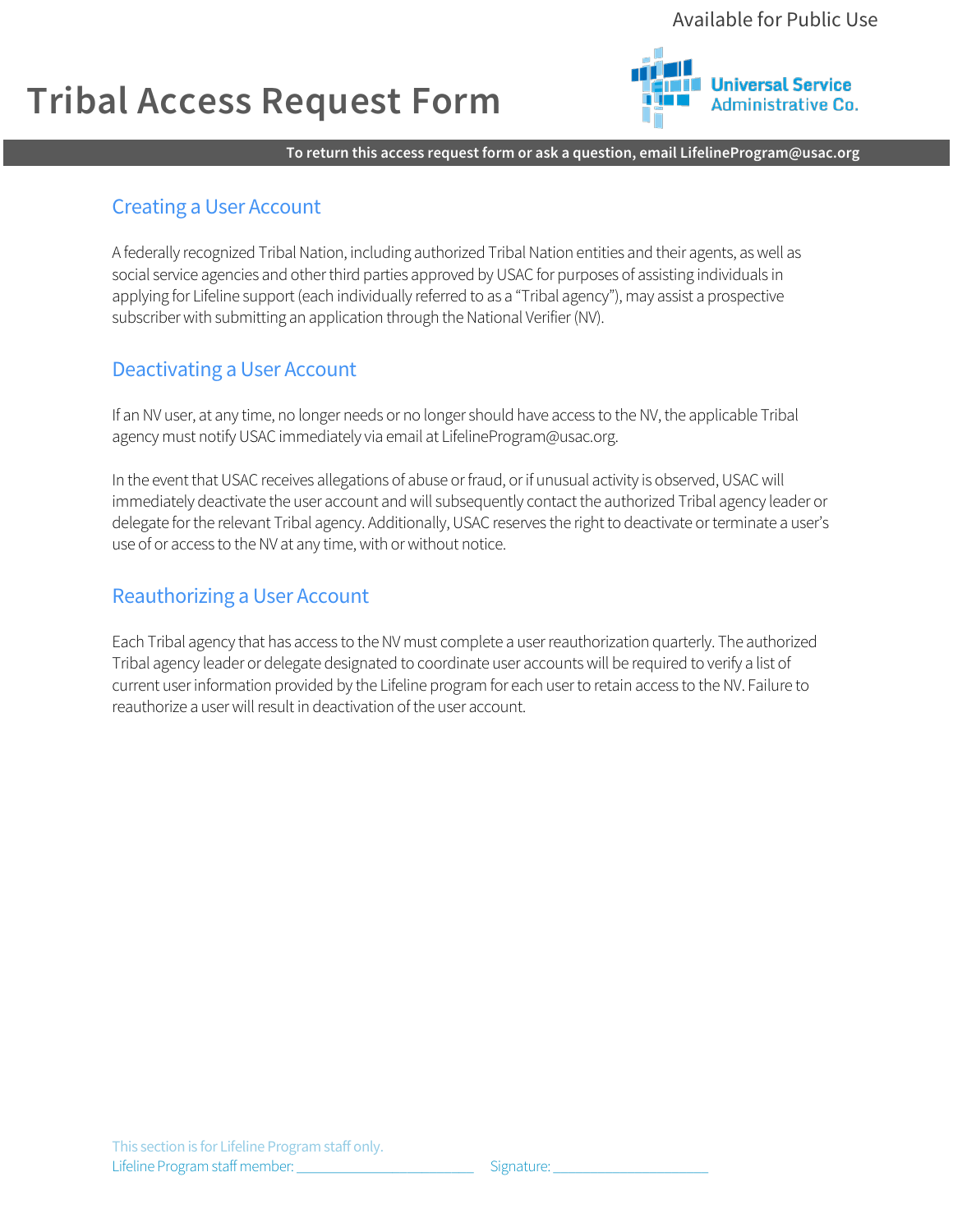## **Tribal Access Request Form**



**To return this access request form or ask a question, email LifelineProgram@usac.org**

## Creating a User Account

A federally recognized Tribal Nation, including authorized Tribal Nation entities and their agents, as well as social service agencies and other third parties approved by USAC for purposes of assisting individuals in applying for Lifeline support (each individually referred to as a "Tribal agency"), may assist a prospective subscriber with submitting an application through the National Verifier (NV).

### Deactivating a User Account

If an NV user, at any time, no longer needs or no longer should have access to the NV, the applicable Tribal agency must notify USAC immediately via email at LifelineProgram@usac.org.

In the event that USAC receives allegations of abuse or fraud, or if unusual activity is observed, USAC will immediately deactivate the user account and will subsequently contact the authorized Tribal agency leader or delegate for the relevant Tribal agency. Additionally, USAC reserves the right to deactivate or terminate a user's use of or access to the NV at any time, with or without notice.

## Reauthorizing a User Account

Each Tribal agency that has access to the NV must complete a user reauthorization quarterly. The authorized Tribal agency leader or delegate designated to coordinate user accounts will be required to verify a list of current user information provided by the Lifeline program for each user to retain access to the NV. Failure to reauthorize a user will result in deactivation of the user account.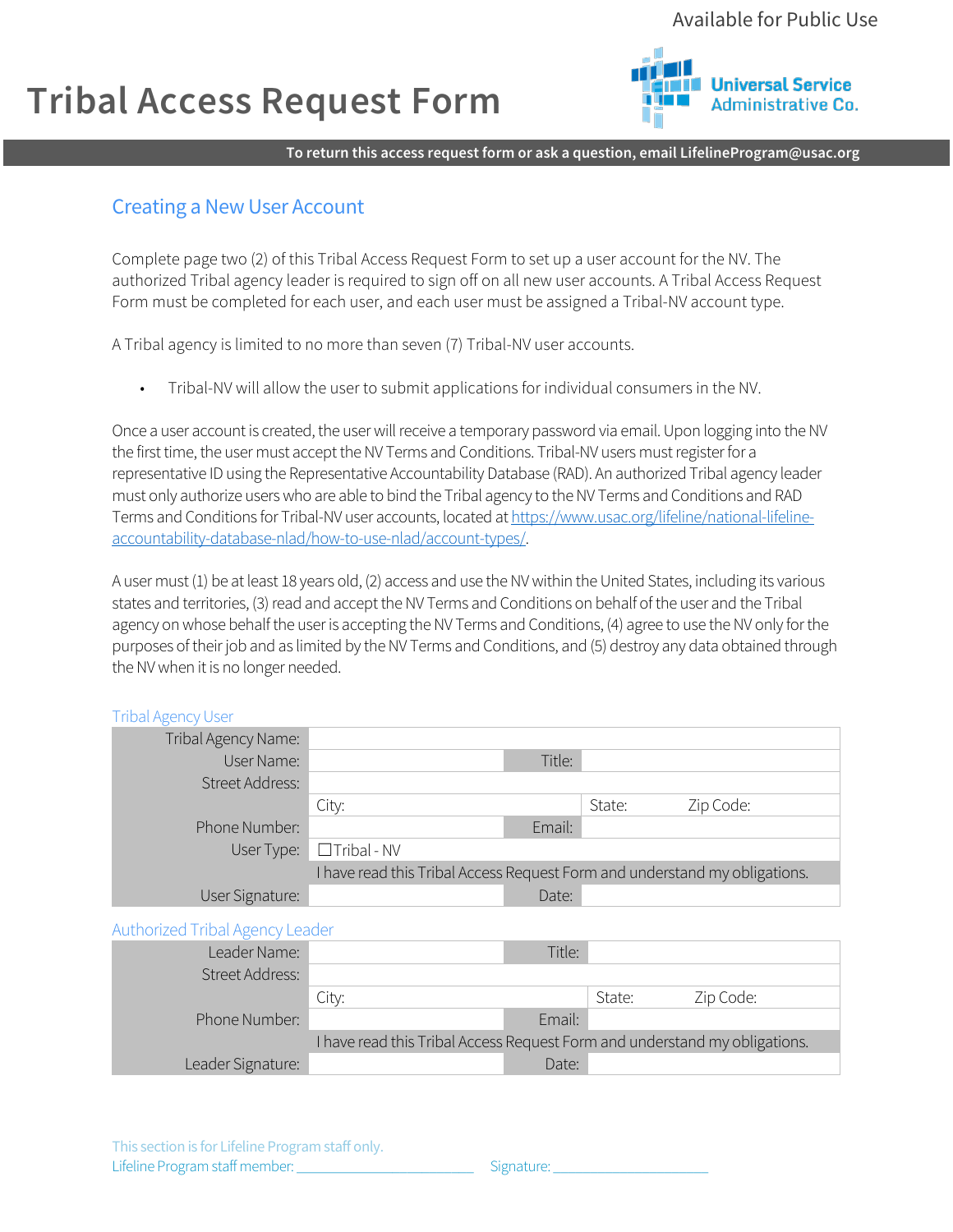## **Tribal Access Request Form**



**To return this access request form or ask a question, email LifelineProgram@usac.org**

## Creating a New User Account

Complete page two (2) of this Tribal Access Request Form to set up a user account for the NV. The authorized Tribal agency leader is required to sign off on all new user accounts. A Tribal Access Request Form must be completed for each user, and each user must be assigned a Tribal-NV account type.

A Tribal agency is limited to no more than seven (7) Tribal-NV user accounts.

• Tribal-NV will allow the user to submit applications for individual consumers in the NV.

Once a user account is created, the user will receive a temporary password via email. Upon logging into theNV the first time, the user must accept the NV Terms and Conditions. Tribal-NV users must register for a representative ID using the Representative Accountability Database (RAD). An authorized Tribal agency leader must only authorize users who are able to bind the Tribal agency to the NV Terms and Conditions and RAD Terms and Conditions for Tribal-NV user accounts, located a[t https://www.usac.org/lifeline/national-lifeline](https://www.usac.org/lifeline/national-lifeline-accountability-database-nlad/how-to-use-nlad/account-types/)[accountability-database-nlad/how-to-use-nlad/account-types/.](https://www.usac.org/lifeline/national-lifeline-accountability-database-nlad/how-to-use-nlad/account-types/) 

A user must (1) be at least 18 years old, (2) access and use the NV within the United States, including its various states and territories, (3) read and accept the NV Terms and Conditions on behalf of the user and the Tribal agency on whose behalf the user is accepting the NV Terms and Conditions, (4) agree to use the NV only for the purposes of their job and as limited by the NV Terms and Conditions, and (5) destroy any data obtained through the NV when it is no longer needed.

#### Tribal Agency User

| Tribal Agency Name: |                                                                            |        |        |           |
|---------------------|----------------------------------------------------------------------------|--------|--------|-----------|
| User Name:          |                                                                            | Title: |        |           |
| Street Address:     |                                                                            |        |        |           |
|                     | City:                                                                      |        | State: | Zip Code: |
| Phone Number:       |                                                                            | Email: |        |           |
| User Type:          | $\Box$ Tribal - NV                                                         |        |        |           |
|                     | I have read this Tribal Access Request Form and understand my obligations. |        |        |           |
| User Signature:     |                                                                            | Date:  |        |           |
|                     |                                                                            |        |        |           |

Authorized Tribal Agency Leader

| Leader Name:           |                                                                            | Title: |        |           |
|------------------------|----------------------------------------------------------------------------|--------|--------|-----------|
| <b>Street Address:</b> |                                                                            |        |        |           |
|                        | City:                                                                      |        | State: | Zip Code: |
| Phone Number:          |                                                                            | Email: |        |           |
|                        | I have read this Tribal Access Request Form and understand my obligations. |        |        |           |
| Leader Signature:      |                                                                            | Date:  |        |           |